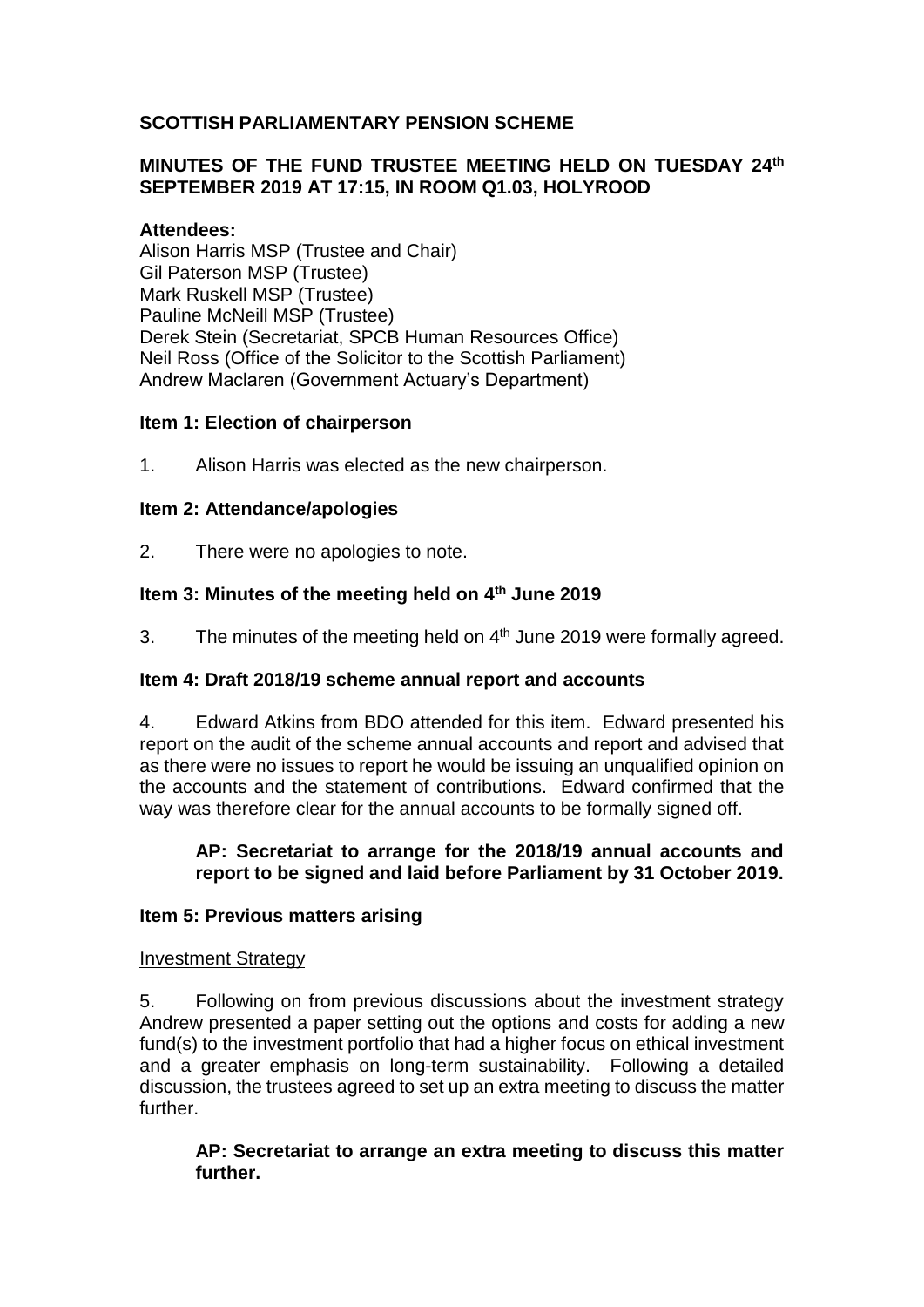# **SCOTTISH PARLIAMENTARY PENSION SCHEME**

# **MINUTES OF THE FUND TRUSTEE MEETING HELD ON TUESDAY 24th SEPTEMBER 2019 AT 17:15, IN ROOM Q1.03, HOLYROOD**

## **Attendees:**

Alison Harris MSP (Trustee and Chair) Gil Paterson MSP (Trustee) Mark Ruskell MSP (Trustee) Pauline McNeill MSP (Trustee) Derek Stein (Secretariat, SPCB Human Resources Office) Neil Ross (Office of the Solicitor to the Scottish Parliament) Andrew Maclaren (Government Actuary's Department)

## **Item 1: Election of chairperson**

1. Alison Harris was elected as the new chairperson.

## **Item 2: Attendance/apologies**

2. There were no apologies to note.

## **Item 3: Minutes of the meeting held on 4 th June 2019**

3. The minutes of the meeting held on 4<sup>th</sup> June 2019 were formally agreed.

## **Item 4: Draft 2018/19 scheme annual report and accounts**

4. Edward Atkins from BDO attended for this item. Edward presented his report on the audit of the scheme annual accounts and report and advised that as there were no issues to report he would be issuing an unqualified opinion on the accounts and the statement of contributions. Edward confirmed that the way was therefore clear for the annual accounts to be formally signed off.

#### **AP: Secretariat to arrange for the 2018/19 annual accounts and report to be signed and laid before Parliament by 31 October 2019.**

## **Item 5: Previous matters arising**

#### Investment Strategy

5. Following on from previous discussions about the investment strategy Andrew presented a paper setting out the options and costs for adding a new fund(s) to the investment portfolio that had a higher focus on ethical investment and a greater emphasis on long-term sustainability. Following a detailed discussion, the trustees agreed to set up an extra meeting to discuss the matter further.

## **AP: Secretariat to arrange an extra meeting to discuss this matter further.**